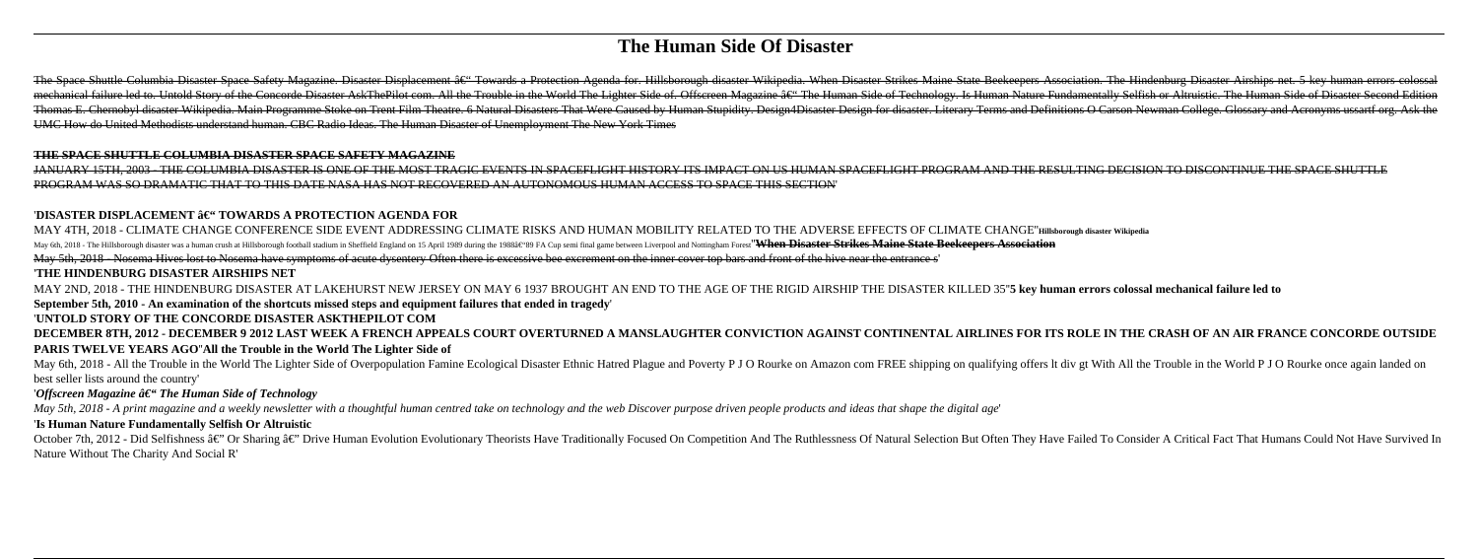# **The Human Side Of Disaster**

The Space Shuttle Columbia Disaster Space Safety Magazine. Disaster Displacement â€" Towards a Protection Agenda for. Hillsborough disaster Wikipedia. When Disaster Strikes Maine State Beckeepers Association. The Hindenbur mechanical failure led to. Untold Story of the Concorde Disaster AskThePilot com. All the Trouble in the World The Lighter Side of. Offscreen Magazine a€" The Human Side of Technology. Is Human Nature Fundamentally Selfish Thomas E. Chernobyl disaster Wikipedia. Main Programme Stoke on Trent Film Theatre. 6 Natural Disasters That Were Caused by Human Stupidity. Design4Disaster Design4Disaster. Literary Terms and Definitions O Carson Newman C UMC How do United Methodists understand human. CBC Radio Ideas. The Human Disaster of Unemployment The New York Times

### **THE SPACE SHUTTLE COLUMBIA DISASTER SPACE SAFETY MAGAZINE**

JANUARY 15TH, 2003 - THE COLUMBIA DISASTER IS ONE OF THE MOST TRAGIC EVENTS IN SPACEFLIGHT HISTORY ITS IMPACT ON US HUMAN SPACEFLIGHT PROGRAM AND THE RESULTING DECISION TO DISCONTINUE THE SPACE SHUTTLE PROGRAM WAS SO DRAMATIC THAT TO THIS DATE NASA HAS NOT RECOVERED AN AUTONOMOUS HUMAN ACCESS TO SPACE THIS SECTION'

# 'DISASTER DISPLACEMENT â€" TOWARDS A PROTECTION AGENDA FOR

MAY 4TH, 2018 - CLIMATE CHANGE CONFERENCE SIDE EVENT ADDRESSING CLIMATE RISKS AND HUMAN MOBILITY RELATED TO THE ADVERSE EFFECTS OF CLIMATE CHANGE''**Hillsborough disaster Wikipedia**

May 6th, 2018 - The Hillsborough disaster was a human crush at Hillsborough football stadium in Sheffield England on 15 April 1989 during the 1988†\*89 FA Cup semi final game between Liverpool and Nottingham Forest<sup>'</sup> Wh

May 5th, 2018 - Nosema Hives lost to Nosema have symptoms of acute dysentery Often there is excessive bee excrement on the inner cover top bars and front of the hive near the entrance s'

May 6th, 2018 - All the Trouble in the World The Lighter Side of Overpopulation Famine Ecological Disaster Ethnic Hatred Plague and Poverty P J O Rourke on Amazon com FREE shipping on qualifying offers It div gt With All t best seller lists around the country'

# '*Offscreen Magazine*  $\hat{a} \in \hat{\mathcal{T}}$  *The Human Side of Technology*

October 7th, 2012 - Did Selfishness â€" Or Sharing â€" Drive Human Evolution Evolution Evolutionary Theorists Have Traditionally Focused On Competition And The Ruthlessness Of Natural Selection But Often They Have Failed Nature Without The Charity And Social R'

# '**THE HINDENBURG DISASTER AIRSHIPS NET**

MAY 2ND, 2018 - THE HINDENBURG DISASTER AT LAKEHURST NEW JERSEY ON MAY 6 1937 BROUGHT AN END TO THE AGE OF THE RIGID AIRSHIP THE DISASTER KILLED 35''**5 key human errors colossal mechanical failure led to September 5th, 2010 - An examination of the shortcuts missed steps and equipment failures that ended in tragedy**'

# '**UNTOLD STORY OF THE CONCORDE DISASTER ASKTHEPILOT COM**

**DECEMBER 8TH, 2012 - DECEMBER 9 2012 LAST WEEK A FRENCH APPEALS COURT OVERTURNED A MANSLAUGHTER CONVICTION AGAINST CONTINENTAL AIRLINES FOR ITS ROLE IN THE CRASH OF AN AIR FRANCE CONCORDE OUTSIDE PARIS TWELVE YEARS AGO**''**All the Trouble in the World The Lighter Side of**

*May 5th, 2018 - A print magazine and a weekly newsletter with a thoughtful human centred take on technology and the web Discover purpose driven people products and ideas that shape the digital age*'

### '**Is Human Nature Fundamentally Selfish Or Altruistic**